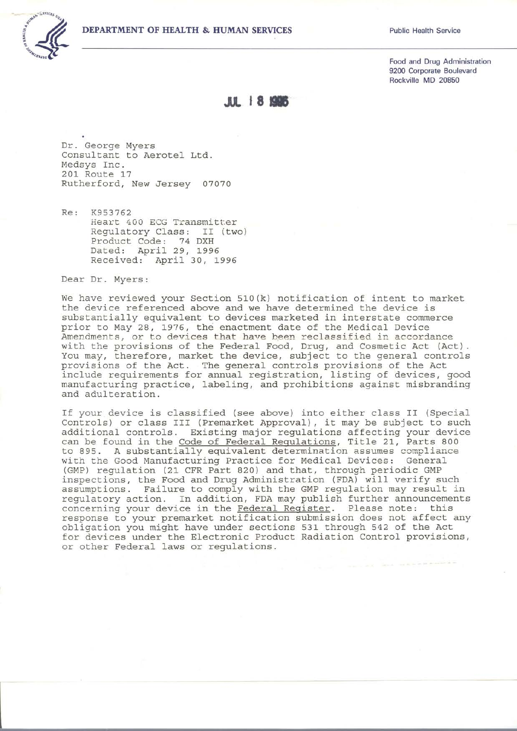## **DEPARTMENT OF HEALTH & HUMAN SERVICES**



Food and Drug Administration 9200 Corporate Boulevard Rockville MD 20850

**JIL 18 1996** 

Dr. George Myers Consultant to Aerotel Ltd. Medsys Inc. 201 Route 17 Rutherford, New Jersey 07070

 $R \rho$ . K953762 Heart 400 ECG Transmitter Requlatory Class: II (two) Product Code: 74 DXH Dated: April 29, 1996 Received: April 30, 1996

Dear Dr. Myers:

We have reviewed your Section 510(k) notification of intent to market the device referenced above and we have determined the device is substantially equivalent to devices marketed in interstate commerce prior to May 28, 1976, the enactment date of the Medical Device<br>Amendments, or to devices that have been reclassified in accordance with the provisions of the Federal Food, Drug, and Cosmetic Act (Act).<br>You may, therefore, market the device, subject to the general controls provisions of the Act. The general controls provisions of the Act include requirements for annual registration, listing of devices, good manufacturing practice, labeling, and prohibitions against misbranding and adulteration.

If your device is classified (see above) into either class II (Special Controls) or class III (Premarket Approval), it may be subject to such additional controls. Existing major regulations affecting your device can be found in the Code of Federal Regulations, Title 21, Parts 800 to 895. A substantially equivalent determination assumes compliance with the Good Manufacturing Practice for Medical Devices: General (GMP) regulation (21 CFR Part 820) and that, through periodic GMP inspections, the Food and Drug Administration (FDA) will verify such assumptions. Failure to comply with the GMP regulation may result in regulatory action. In addition, FDA may publish further announcements concerning your device in the Federal Register. Please note: this response to your premarket notification submission does not affect any obligation you might have under sections 531 through 542 of the Act for devices under the Electronic Product Radiation Control provisions, or other Federal laws or regulations.